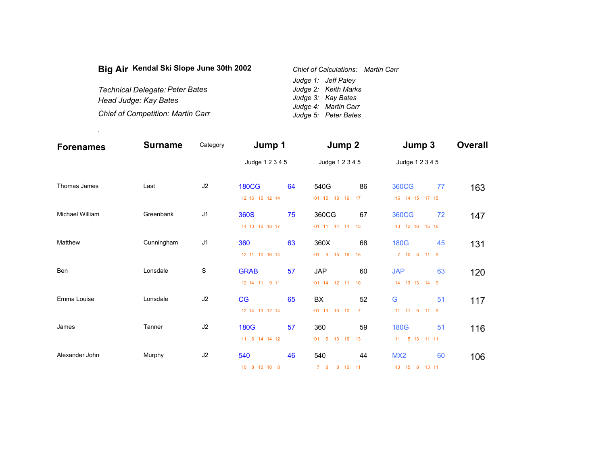| Big Air Kendal Ski Slope June 30th 2002  | Chief of Calculations: Martin Carr |  |  |
|------------------------------------------|------------------------------------|--|--|
|                                          | Judge 1: Jeff Paley                |  |  |
| Technical Delegate: Peter Bates          | Judge 2: Keith Marks               |  |  |
| Head Judge: Kay Bates                    | Judge 3: Kay Bates                 |  |  |
|                                          | Judge 4: Martin Carr               |  |  |
| <b>Chief of Competition: Martin Carr</b> | Judge 5: Peter Bates               |  |  |

.

| <b>Forenames</b> | <b>Surname</b> | Category       | Jump 1          |    | Jump 2            |                | Jump 3             |    | <b>Overall</b> |
|------------------|----------------|----------------|-----------------|----|-------------------|----------------|--------------------|----|----------------|
|                  |                |                | Judge 1 2 3 4 5 |    | Judge 1 2 3 4 5   |                | Judge 1 2 3 4 5    |    |                |
| Thomas James     | Last           | J2             | <b>180CG</b>    | 64 | 540G              | 86             | <b>360CG</b>       | 77 | 163            |
|                  |                |                | 12 16 10 12 14  |    | $-01$ 15 18 19    | 17             | 16  14  15  17  15 |    |                |
| Michael William  | Greenbank      | J <sub>1</sub> | 360S            | 75 | 360CG             | 67             | <b>360CG</b>       | 72 | 147            |
|                  |                |                | 14 10 16 18 17  |    | $-01$ 11 14 14 15 |                | 13 12 16 15 16     |    |                |
| Matthew          | Cunningham     | J <sub>1</sub> | 360             | 63 | 360X              | 68             | <b>180G</b>        | 45 | 131            |
|                  |                |                | 12 11 10 16 14  |    | -01 9 15 16 15    |                | 7 10 8 11 9        |    |                |
| Ben              | Lonsdale       | S              | <b>GRAB</b>     | 57 | <b>JAP</b>        | 60             | <b>JAP</b>         | 63 | 120            |
|                  |                |                | 12 14 11 9 11   |    | $-01$ 14 12 11 10 |                | 14 13 13 14 9      |    |                |
| Emma Louise      | Lonsdale       | J2             | CG              | 65 | BX                | 52             | G                  | 51 | 117            |
|                  |                |                | 12 14 13 12 14  |    | $-01$ 13 10 10    | $\overline{7}$ | 11 11 9 11 9       |    |                |
| James            | Tanner         | J2             | <b>180G</b>     | 57 | 360               | 59             | <b>180G</b>        | 51 | 116            |
|                  |                |                | 11 6 14 14 12   |    | $-01$ 6 13 16 13  |                | 11 5 13 11 11      |    |                |
| Alexander John   | Murphy         | J2             | 540             | 46 | 540               | 44             | MX <sub>2</sub>    | 60 | 106            |
|                  |                |                | 10 8 10 10 8    |    | 7 8 8 10 11       |                | 13 15 8 13 11      |    |                |